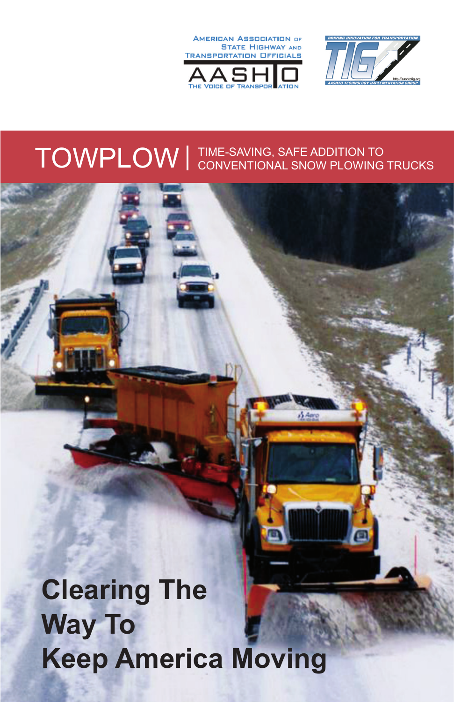



# TOWPLOW TIME-SAVING, SAFE ADDITION TO CONVENTIONAL SNOW PLOWING TRUCKS

# **Clearing The Way To Keep America Moving**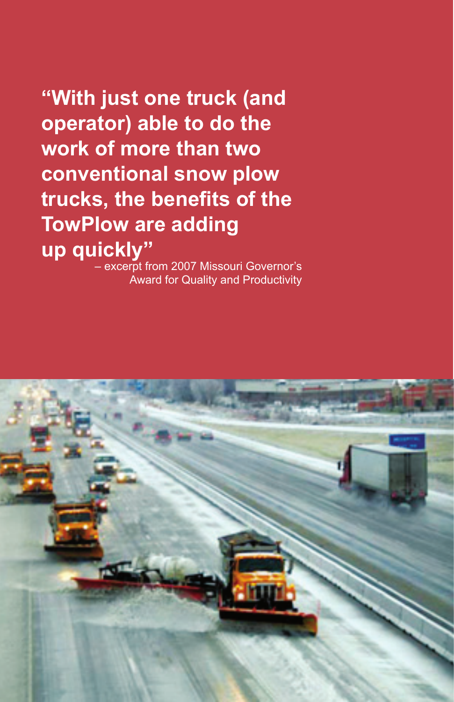**"With just one truck (and operator) able to do the work of more than two conventional snow plow trucks, the benefits of the TowPlow are adding up quickly"**

– excerpt from 2007 Missouri Governor's Award for Quality and Productivity

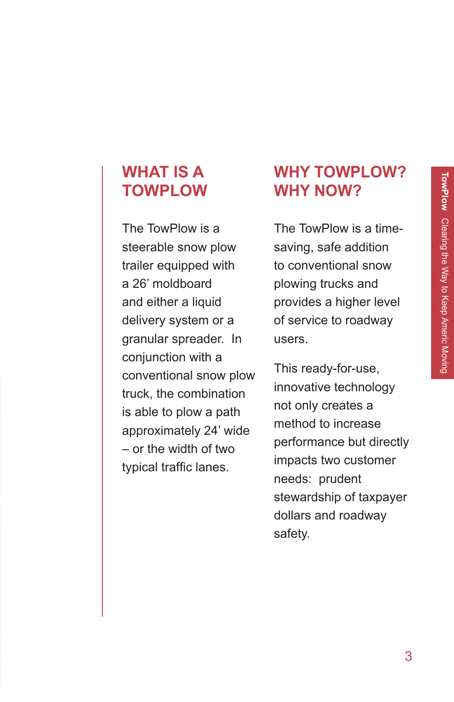### **WHAT IS A TOWPLOW**

The TowPlow is a steerable snow plow trailer equipped with a 26' moldboard and either a liquid delivery system or a granular spreader. In conjunction with a conventional snow plow truck, the combination is able to plow a path approximately 24' wide – or the width of two typical traffic lanes.

### **WHY TOWPLOW? WHY NOW?**

The TowPlow is a timesaving, safe addition to conventional snow plowing trucks and provides a higher level of service to roadway users.

This ready-for-use, innovative technology not only creates a method to increase performance but directly impacts two customer needs: prudent stewardship of taxpayer dollars and roadway safety.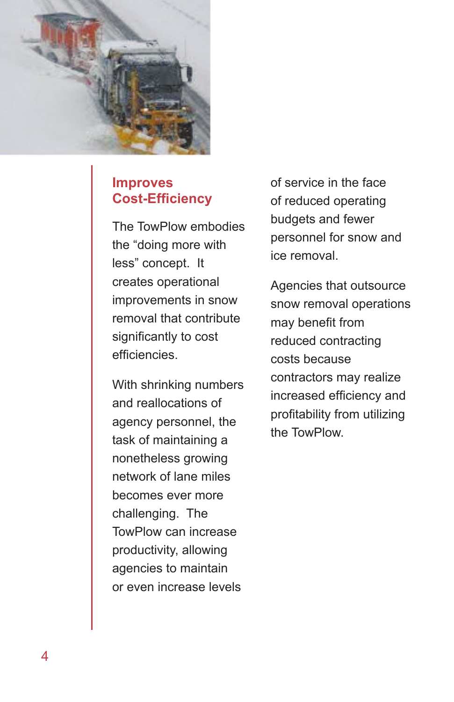

### **Improves Cost-Efficiency**

The TowPlow embodies the "doing more with less" concept. It creates operational improvements in snow removal that contribute significantly to cost efficiencies.

With shrinking numbers and reallocations of agency personnel, the task of maintaining a nonetheless growing network of lane miles becomes ever more challenging. The TowPlow can increase productivity, allowing agencies to maintain or even increase levels

of service in the face of reduced operating budgets and fewer personnel for snow and ice removal.

Agencies that outsource snow removal operations may benefit from reduced contracting costs because contractors may realize increased efficiency and profitability from utilizing the TowPlow.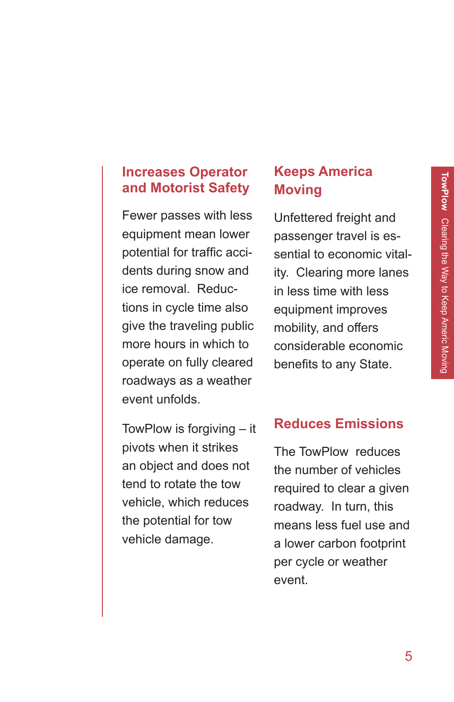### **Increases Operator and Motorist Safety**

Fewer passes with less equipment mean lower potential for traffic accidents during snow and ice removal. Reductions in cycle time also give the traveling public more hours in which to operate on fully cleared roadways as a weather event unfolds.

TowPlow is forgiving – it pivots when it strikes an object and does not tend to rotate the tow vehicle, which reduces the potential for tow vehicle damage.

### **Keeps America Moving**

Unfettered freight and passenger travel is essential to economic vitality. Clearing more lanes in less time with less equipment improves mobility, and offers considerable economic benefits to any State.

### **Reduces Emissions**

The TowPlow reduces the number of vehicles required to clear a given roadway. In turn, this means less fuel use and a lower carbon footprint per cycle or weather event.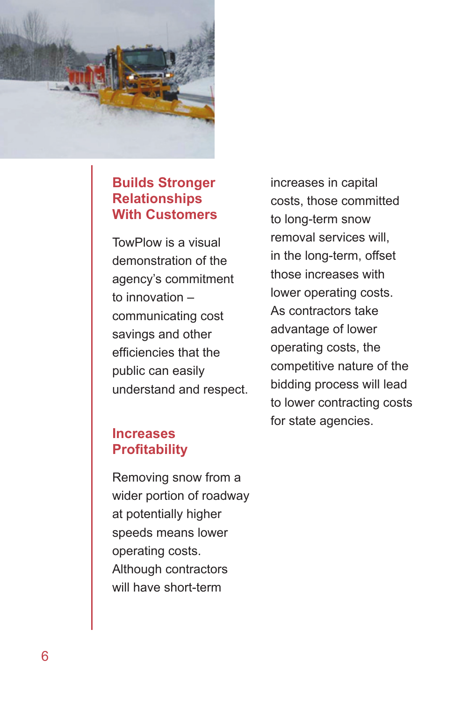

### **Builds Stronger Relationships With Customers**

TowPlow is a visual demonstration of the agency's commitment to innovation – communicating cost savings and other efficiencies that the public can easily understand and respect.

### **Increases Profitability**

Removing snow from a wider portion of roadway at potentially higher speeds means lower operating costs. Although contractors will have short-term

increases in capital costs, those committed to long-term snow removal services will, in the long-term, offset those increases with lower operating costs. As contractors take advantage of lower operating costs, the competitive nature of the bidding process will lead to lower contracting costs for state agencies.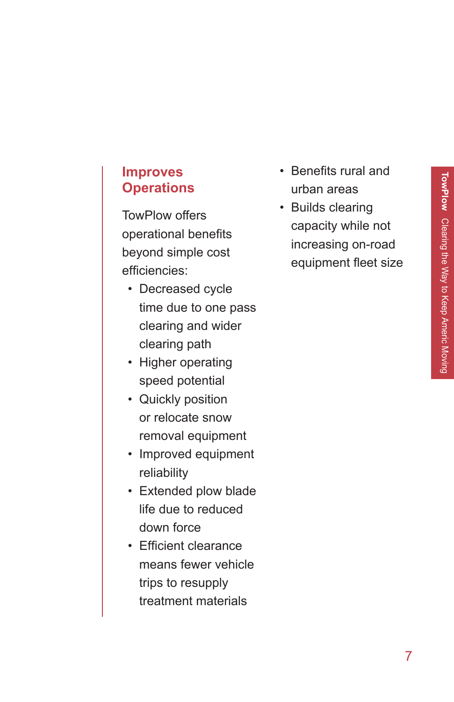### **Improves Operations**

TowPlow offers operational benefits beyond simple cost efficiencies:

- Decreased cycle time due to one pass clearing and wider clearing path
- Higher operating speed potential
- Quickly position or relocate snow removal equipment
- Improved equipment reliability
- Extended plow blade life due to reduced down force
- Efficient clearance means fewer vehicle trips to resupply treatment materials
- Benefits rural and urban areas
- Builds clearing capacity while not increasing on-road equipment fleet size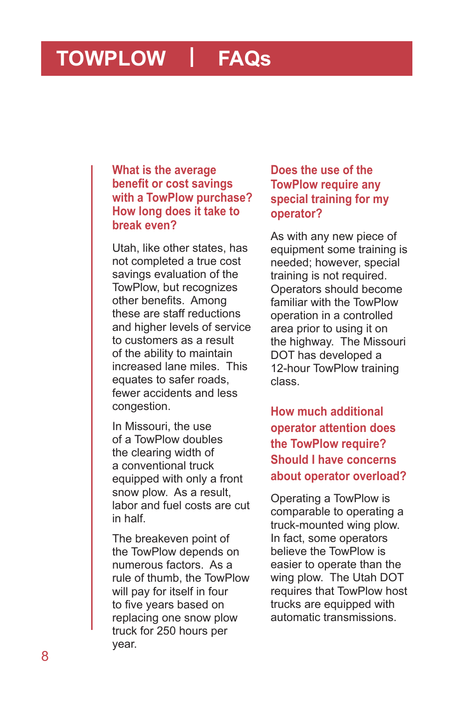## **TOWPLOW** l **FAQs**

**What is the average benefit or cost savings with a TowPlow purchase? How long does it take to break even?**

Utah, like other states, has not completed a true cost savings evaluation of the TowPlow, but recognizes other benefits. Among these are staff reductions and higher levels of service to customers as a result of the ability to maintain increased lane miles. This equates to safer roads, fewer accidents and less congestion.

In Missouri, the use of a TowPlow doubles the clearing width of a conventional truck equipped with only a front snow plow. As a result, labor and fuel costs are cut in half.

The breakeven point of the TowPlow depends on numerous factors. As a rule of thumb, the TowPlow will pay for itself in four to five years based on replacing one snow plow truck for 250 hours per year.

### **Does the use of the TowPlow require any special training for my operator?**

As with any new piece of equipment some training is needed; however, special training is not required. Operators should become familiar with the TowPlow operation in a controlled area prior to using it on the highway. The Missouri DOT has developed a 12-hour TowPlow training class.

**How much additional operator attention does the TowPlow require? Should I have concerns about operator overload?** 

Operating a TowPlow is comparable to operating a truck-mounted wing plow. In fact, some operators believe the TowPlow is easier to operate than the wing plow. The Utah DOT requires that TowPlow host trucks are equipped with automatic transmissions.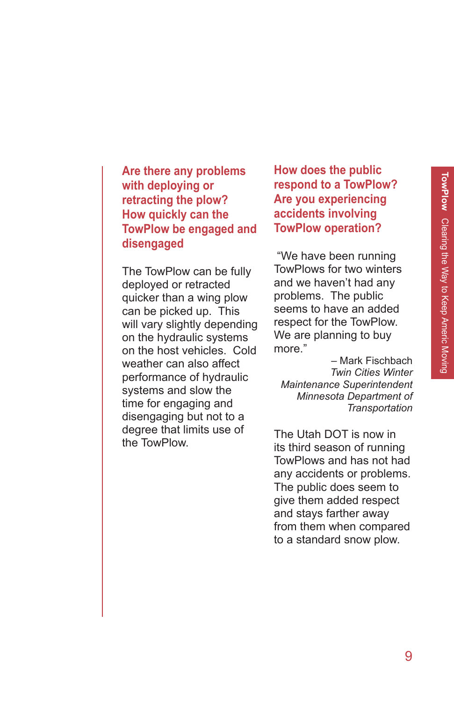**Are there any problems with deploying or retracting the plow? How quickly can the TowPlow be engaged and disengaged**

The TowPlow can be fully deployed or retracted quicker than a wing plow can be picked up. This will vary slightly depending on the hydraulic systems on the host vehicles. Cold weather can also affect performance of hydraulic systems and slow the time for engaging and disengaging but not to a degree that limits use of the TowPlow.

**How does the public respond to a TowPlow? Are you experiencing accidents involving TowPlow operation?**

 "We have been running TowPlows for two winters and we haven't had any problems. The public seems to have an added respect for the TowPlow. We are planning to buy more."

– Mark Fischbach *Twin Cities Winter Maintenance Superintendent Minnesota Department of Transportation*

The Utah DOT is now in its third season of running TowPlows and has not had any accidents or problems. The public does seem to give them added respect and stays farther away from them when compared to a standard snow plow.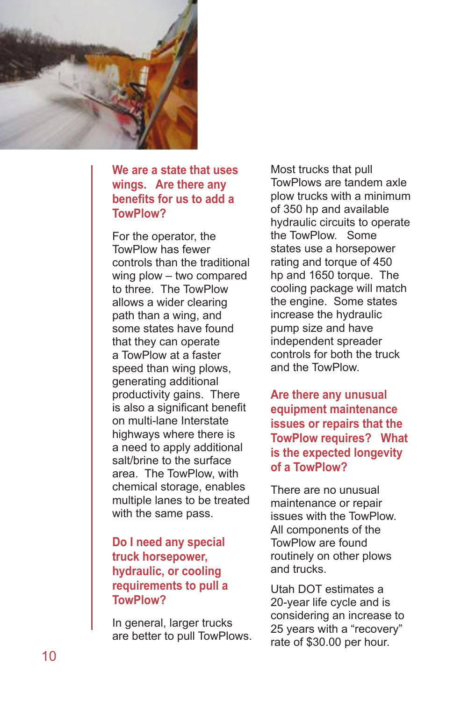

### **We are a state that uses wings. Are there any benefits for us to add a TowPlow?**

For the operator, the TowPlow has fewer controls than the traditional wing plow – two compared to three. The TowPlow allows a wider clearing path than a wing, and some states have found that they can operate a TowPlow at a faster speed than wing plows, generating additional productivity gains. There is also a significant benefit on multi-lane Interstate highways where there is a need to apply additional salt/brine to the surface area. The TowPlow, with chemical storage, enables multiple lanes to be treated with the same pass.

### **Do I need any special truck horsepower, hydraulic, or cooling requirements to pull a TowPlow?**

In general, larger trucks are better to pull TowPlows. Most trucks that pull TowPlows are tandem axle plow trucks with a minimum of 350 hp and available hydraulic circuits to operate the TowPlow. Some states use a horsepower rating and torque of 450 hp and 1650 torque. The cooling package will match the engine. Some states increase the hydraulic pump size and have independent spreader controls for both the truck and the TowPlow.

**Are there any unusual equipment maintenance issues or repairs that the TowPlow requires? What is the expected longevity of a TowPlow?**

There are no unusual maintenance or repair issues with the TowPlow. All components of the TowPlow are found routinely on other plows and trucks.

Utah DOT estimates a 20-year life cycle and is considering an increase to 25 years with a "recovery" rate of \$30.00 per hour.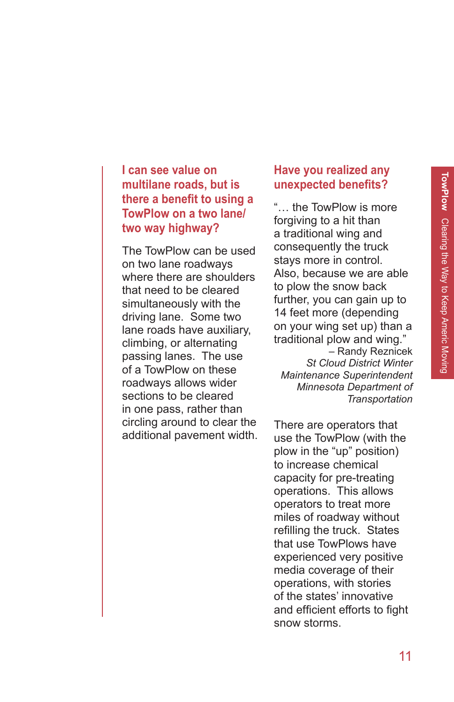### **I can see value on multilane roads, but is there a benefit to using a TowPlow on a two lane/ two way highway?**

The TowPlow can be used on two lane roadways where there are shoulders that need to be cleared simultaneously with the driving lane. Some two lane roads have auxiliary, climbing, or alternating passing lanes. The use of a TowPlow on these roadways allows wider sections to be cleared in one pass, rather than circling around to clear the additional pavement width.

### **Have you realized any unexpected benefits?**

"… the TowPlow is more forgiving to a hit than a traditional wing and consequently the truck stays more in control. Also, because we are able to plow the snow back further, you can gain up to 14 feet more (depending on your wing set up) than a traditional plow and wing." – Randy Reznicek *St Cloud District Winter Maintenance Superintendent Minnesota Department of Transportation*

There are operators that use the TowPlow (with the plow in the "up" position) to increase chemical capacity for pre-treating operations. This allows operators to treat more miles of roadway without refilling the truck. States that use TowPlows have experienced very positive media coverage of their operations, with stories of the states' innovative and efficient efforts to fight snow storms.